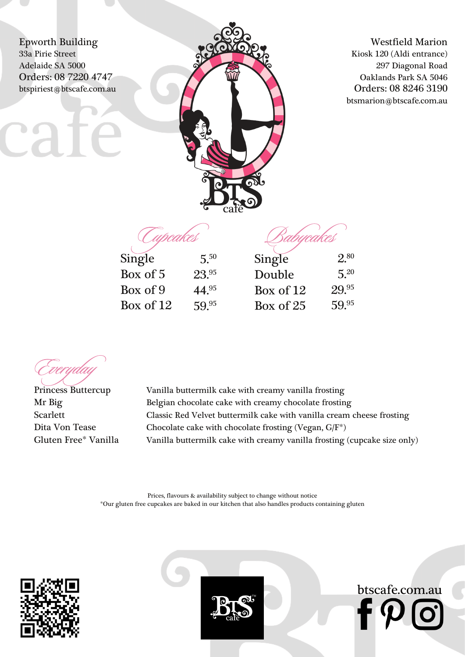Epworth Building 33a Pirie Street Adelaide SA 5000 Orders: 08 7220 4747 btspiriest@btscafe.com.au



Westfield Marion Kiosk 120 (Aldi entrance) 297 Diagonal Road Oaklands Park SA 5046 Orders: 08 8246 3190 btsmarion@btscafe.com.au

btscafe.com.au

Tupcakes

bycakes

| Single      | $5^{50}$  | Single      | $2^{80}$ |
|-------------|-----------|-------------|----------|
| Box of 5    | 23.95     | Double      | $5^{20}$ |
| Box of 9    | $44^{95}$ | Box of $12$ | 29.95    |
| Box of $12$ | 59.95     | Box of 25   | 59.95    |

Princess Buttercup Vanilla buttermilk cake with creamy vanilla frosting Mr Big Belgian chocolate cake with creamy chocolate frosting Scarlett Classic Red Velvet buttermilk cake with vanilla cream cheese frosting Dita Von Tease Chocolate cake with chocolate frosting (Vegan, G/F<sup>\*</sup>) Gluten Free\* Vanilla Vanilla buttermilk cake with creamy vanilla frosting (cupcake size only)

> Prices, flavours & availability subject to change without notice \*Our gluten free cupcakes are baked in our kitchen that also handles products containing gluten